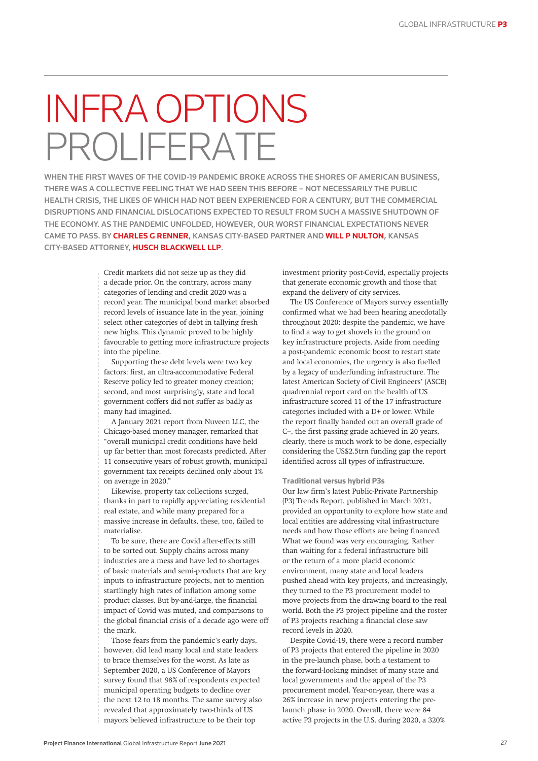## INFRA OPTIONS ROLIFERATE

WHEN THE FIRST WAVES OF THE COVID-19 PANDEMIC BROKE ACROSS THE SHORES OF AMERICAN BUSINESS, THERE WAS A COLLECTIVE FEELING THAT WE HAD SEEN THIS BEFORE – NOT NECESSARILY THE PUBLIC HEALTH CRISIS, THE LIKES OF WHICH HAD NOT BEEN EXPERIENCED FOR A CENTURY, BUT THE COMMERCIAL DISRUPTIONS AND FINANCIAL DISLOCATIONS EXPECTED TO RESULT FROM SUCH A MASSIVE SHUTDOWN OF THE ECONOMY. AS THE PANDEMIC UNFOLDED, HOWEVER, OUR WORST FINANCIAL EXPECTATIONS NEVER CAME TO PASS. BY **CHARLES G RENNER**, KANSAS CITY-BASED PARTNER AND **WILL P NULTON**, KANSAS CITY-BASED ATTORNEY, **HUSCH BLACKWELL LLP**.

> Credit markets did not seize up as they did a decade prior. On the contrary, across many categories of lending and credit 2020 was a record year. The municipal bond market absorbed record levels of issuance late in the year, joining select other categories of debt in tallying fresh new highs. This dynamic proved to be highly favourable to getting more infrastructure projects into the pipeline.

Supporting these debt levels were two key factors: first, an ultra-accommodative Federal Reserve policy led to greater money creation; second, and most surprisingly, state and local government coffers did not suffer as badly as many had imagined.

A January 2021 report from Nuveen LLC, the Chicago-based money manager, remarked that "overall municipal credit conditions have held up far better than most forecasts predicted. After 11 consecutive years of robust growth, municipal government tax receipts declined only about 1% on average in 2020."

Likewise, property tax collections surged, thanks in part to rapidly appreciating residential real estate, and while many prepared for a massive increase in defaults, these, too, failed to materialise.

To be sure, there are Covid after-effects still to be sorted out. Supply chains across many industries are a mess and have led to shortages of basic materials and semi-products that are key inputs to infrastructure projects, not to mention startlingly high rates of inflation among some product classes. But by-and-large, the financial impact of Covid was muted, and comparisons to the global financial crisis of a decade ago were off the mark.

Those fears from the pandemic's early days, however, did lead many local and state leaders to brace themselves for the worst. As late as September 2020, a US Conference of Mayors survey found that 98% of respondents expected municipal operating budgets to decline over the next 12 to 18 months. The same survey also revealed that approximately two-thirds of US mayors believed infrastructure to be their top

investment priority post-Covid, especially projects that generate economic growth and those that expand the delivery of city services.

The US Conference of Mayors survey essentially confirmed what we had been hearing anecdotally throughout 2020: despite the pandemic, we have to find a way to get shovels in the ground on key infrastructure projects. Aside from needing a post-pandemic economic boost to restart state and local economies, the urgency is also fuelled by a legacy of underfunding infrastructure. The latest American Society of Civil Engineers' (ASCE) quadrennial report card on the health of US infrastructure scored 11 of the 17 infrastructure categories included with a D+ or lower. While the report finally handed out an overall grade of C–, the first passing grade achieved in 20 years, clearly, there is much work to be done, especially considering the US\$2.5trn funding gap the report identified across all types of infrastructure.

## **Traditional versus hybrid P3s**

Our law firm's latest Public-Private Partnership (P3) Trends Report, published in March 2021, provided an opportunity to explore how state and local entities are addressing vital infrastructure needs and how those efforts are being financed. What we found was very encouraging. Rather than waiting for a federal infrastructure bill or the return of a more placid economic environment, many state and local leaders pushed ahead with key projects, and increasingly, they turned to the P3 procurement model to move projects from the drawing board to the real world. Both the P3 project pipeline and the roster of P3 projects reaching a financial close saw record levels in 2020.

Despite Covid-19, there were a record number of P3 projects that entered the pipeline in 2020 in the pre-launch phase, both a testament to the forward-looking mindset of many state and local governments and the appeal of the P3 procurement model. Year-on-year, there was a 26% increase in new projects entering the prelaunch phase in 2020. Overall, there were 84 active P3 projects in the U.S. during 2020, a 320%